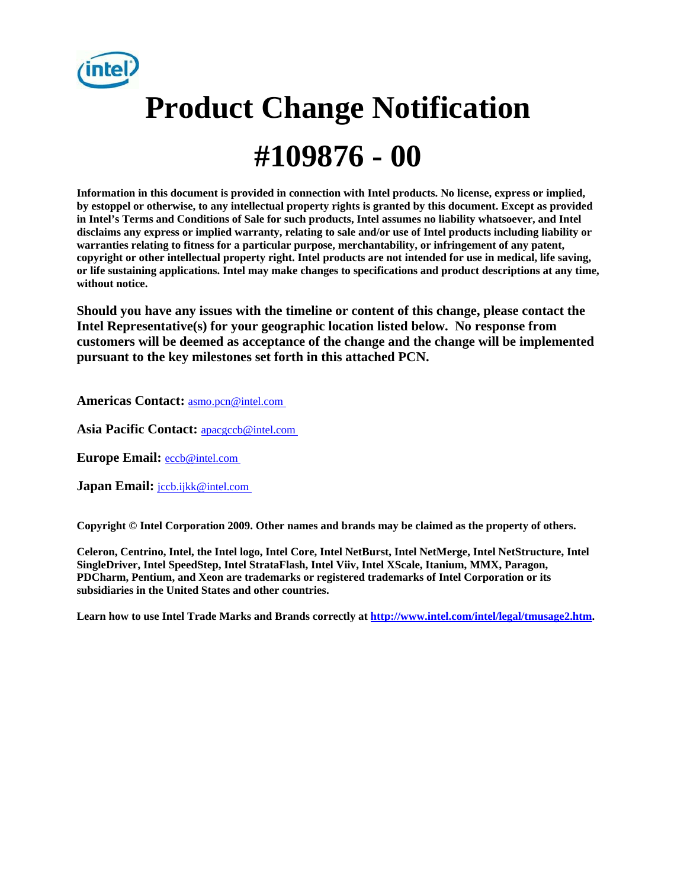

# **Product Change Notification**

## **#109876 - 00**

**Information in this document is provided in connection with Intel products. No license, express or implied, by estoppel or otherwise, to any intellectual property rights is granted by this document. Except as provided in Intel's Terms and Conditions of Sale for such products, Intel assumes no liability whatsoever, and Intel disclaims any express or implied warranty, relating to sale and/or use of Intel products including liability or warranties relating to fitness for a particular purpose, merchantability, or infringement of any patent, copyright or other intellectual property right. Intel products are not intended for use in medical, life saving, or life sustaining applications. Intel may make changes to specifications and product descriptions at any time, without notice.** 

**Should you have any issues with the timeline or content of this change, please contact the Intel Representative(s) for your geographic location listed below. No response from customers will be deemed as acceptance of the change and the change will be implemented pursuant to the key milestones set forth in this attached PCN.** 

**Americas Contact:** [asmo.pcn@intel.com](mailto:asmo.pcn@intel.com) 

Asia Pacific Contact: **apacgccb@intel.com** 

**Europe Email:** [eccb@intel.com](mailto:eccb@intel.com) 

**Japan Email: jccb.ijkk@intel.com** 

**Copyright © Intel Corporation 2009. Other names and brands may be claimed as the property of others.**

**Celeron, Centrino, Intel, the Intel logo, Intel Core, Intel NetBurst, Intel NetMerge, Intel NetStructure, Intel SingleDriver, Intel SpeedStep, Intel StrataFlash, Intel Viiv, Intel XScale, Itanium, MMX, Paragon, PDCharm, Pentium, and Xeon are trademarks or registered trademarks of Intel Corporation or its subsidiaries in the United States and other countries.** 

**Learn how to use Intel Trade Marks and Brands correctly at [http://www.intel.com/intel/legal/tmusage2.htm.](http://www.intel.com/intel/legal/tmusage2.htm)**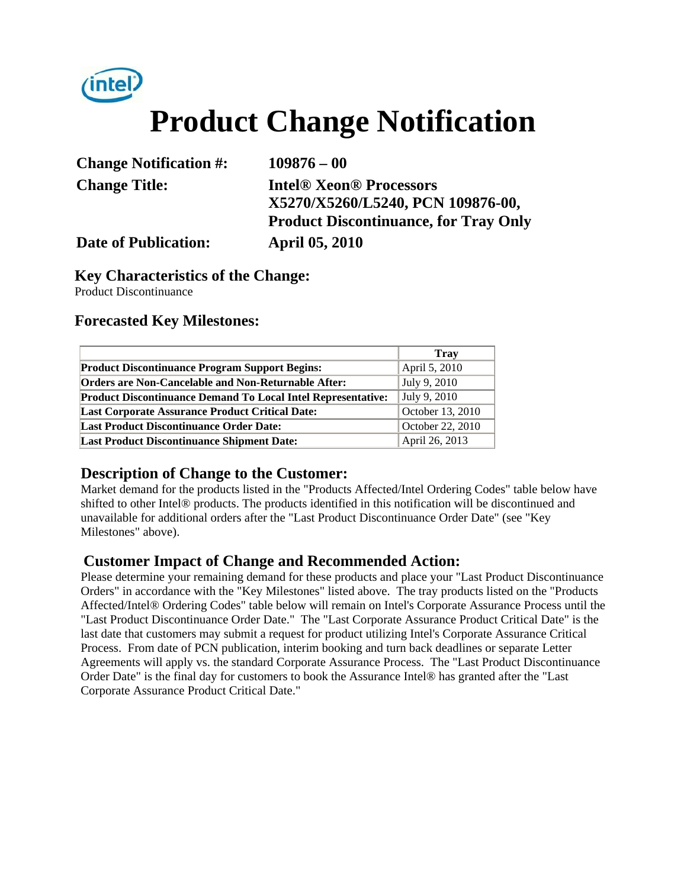

# **Product Change Notification**

| <b>Change Notification #:</b> | $109876 - 00$                                |
|-------------------------------|----------------------------------------------|
| <b>Change Title:</b>          | <b>Intel® Xeon® Processors</b>               |
|                               | X5270/X5260/L5240, PCN 109876-00,            |
|                               | <b>Product Discontinuance, for Tray Only</b> |
| <b>Date of Publication:</b>   | <b>April 05, 2010</b>                        |

#### **Key Characteristics of the Change:**

Product Discontinuance

#### **Forecasted Key Milestones:**

|                                                                     | <b>Trav</b>      |
|---------------------------------------------------------------------|------------------|
| <b>Product Discontinuance Program Support Begins:</b>               | April 5, 2010    |
| <b>Orders are Non-Cancelable and Non-Returnable After:</b>          | July 9, 2010     |
| <b>Product Discontinuance Demand To Local Intel Representative:</b> | July 9, 2010     |
| <b>Last Corporate Assurance Product Critical Date:</b>              | October 13, 2010 |
| <b>Last Product Discontinuance Order Date:</b>                      | October 22, 2010 |
| <b>Last Product Discontinuance Shipment Date:</b>                   | April 26, 2013   |

#### **Description of Change to the Customer:**

Market demand for the products listed in the "Products Affected/Intel Ordering Codes" table below have shifted to other Intel® products. The products identified in this notification will be discontinued and unavailable for additional orders after the "Last Product Discontinuance Order Date" (see "Key Milestones" above).

#### **Customer Impact of Change and Recommended Action:**

Please determine your remaining demand for these products and place your "Last Product Discontinuance Orders" in accordance with the "Key Milestones" listed above. The tray products listed on the "Products Affected/Intel® Ordering Codes" table below will remain on Intel's Corporate Assurance Process until the "Last Product Discontinuance Order Date." The "Last Corporate Assurance Product Critical Date" is the last date that customers may submit a request for product utilizing Intel's Corporate Assurance Critical Process. From date of PCN publication, interim booking and turn back deadlines or separate Letter Agreements will apply vs. the standard Corporate Assurance Process. The "Last Product Discontinuance Order Date" is the final day for customers to book the Assurance Intel® has granted after the "Last Corporate Assurance Product Critical Date."